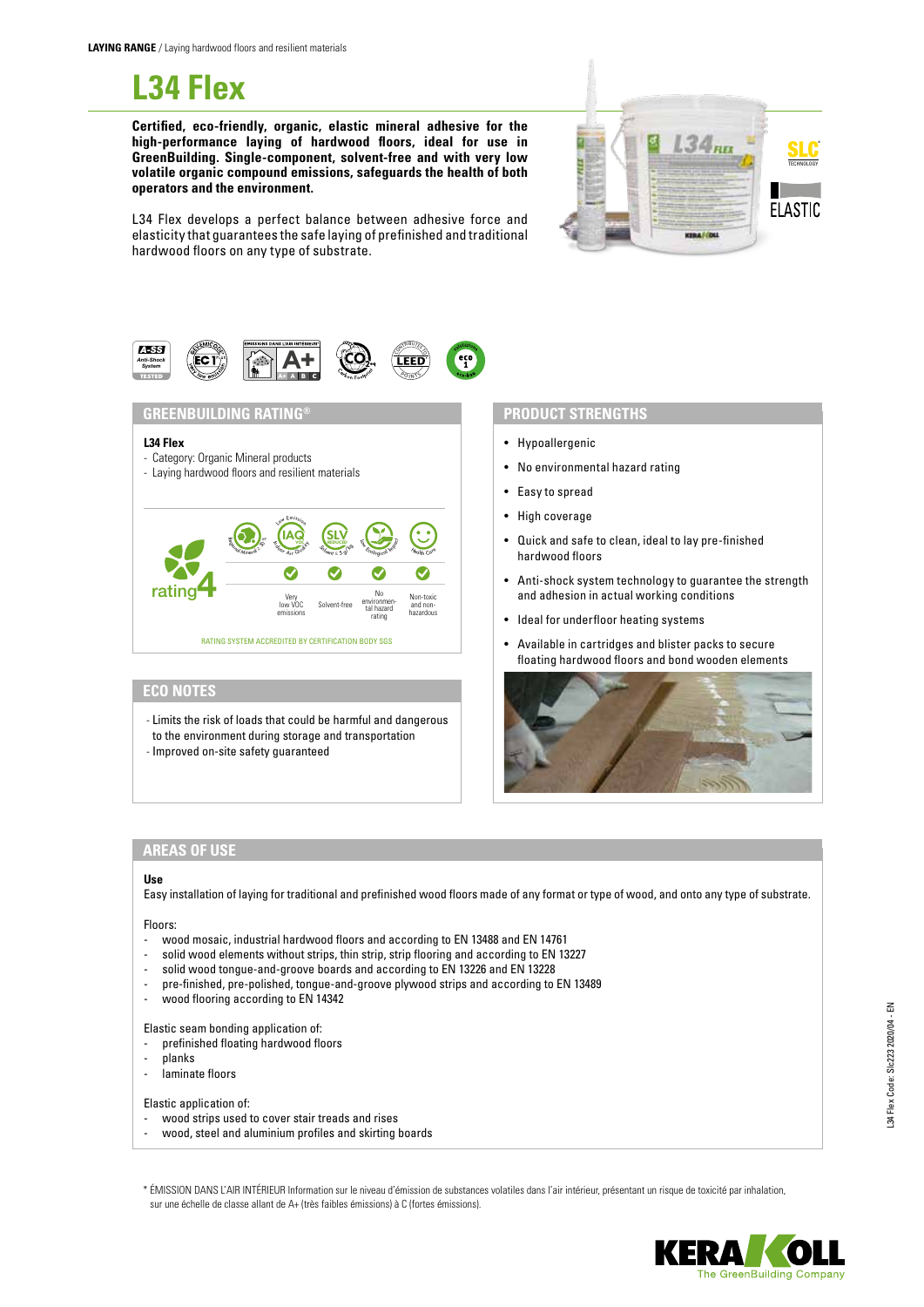**L34 Flex**

**Certified, eco-friendly, organic, elastic mineral adhesive for the high-performance laying of hardwood floors, ideal for use in GreenBuilding. Single-component, solvent-free and with very low volatile organic compound emissions, safeguards the health of both operators and the environment.**



L34 Flex develops a perfect balance between adhesive force and elasticity that guarantees the safe laying of prefinished and traditional hardwood floors on any type of substrate.



- Limits the risk of loads that could be harmful and dangerous to the environment during storage and transportation
- 

# - Improved on-site safety guaranteed

- Hypoallergenic
- No environmental hazard rating
- Easy to spread
- High coverage
- Quick and safe to clean, ideal to lay pre-finished hardwood floors
- Anti-shock system technology to guarantee the strength and adhesion in actual working conditions
- Ideal for underfloor heating systems
- Available in cartridges and blister packs to secure floating hardwood floors and bond wooden elements



## **AREAS OF USE**

## **Use**

Easy installation of laying for traditional and prefinished wood floors made of any format or type of wood, and onto any type of substrate.

## Floors:

- wood mosaic, industrial hardwood floors and according to EN 13488 and EN 14761
- solid wood elements without strips, thin strip, strip flooring and according to EN 13227
- solid wood tongue-and-groove boards and according to EN 13226 and EN 13228
- pre-finished, pre-polished, tongue-and-groove plywood strips and according to EN 13489
- wood flooring according to EN 14342

# Elastic seam bonding application of:

- prefinished floating hardwood floors
- planks
- laminate floors

## Elastic application of:

- wood strips used to cover stair treads and rises
- wood, steel and aluminium profiles and skirting boards
- \* ÉMISSION DANS L'AIR INTÉRIEUR Information sur le niveau d'émission de substances volatiles dans l'air intérieur, présentant un risque de toxicité par inhalation, sur une échelle de classe allant de A+ (très faibles émissions) à C (fortes émissions).

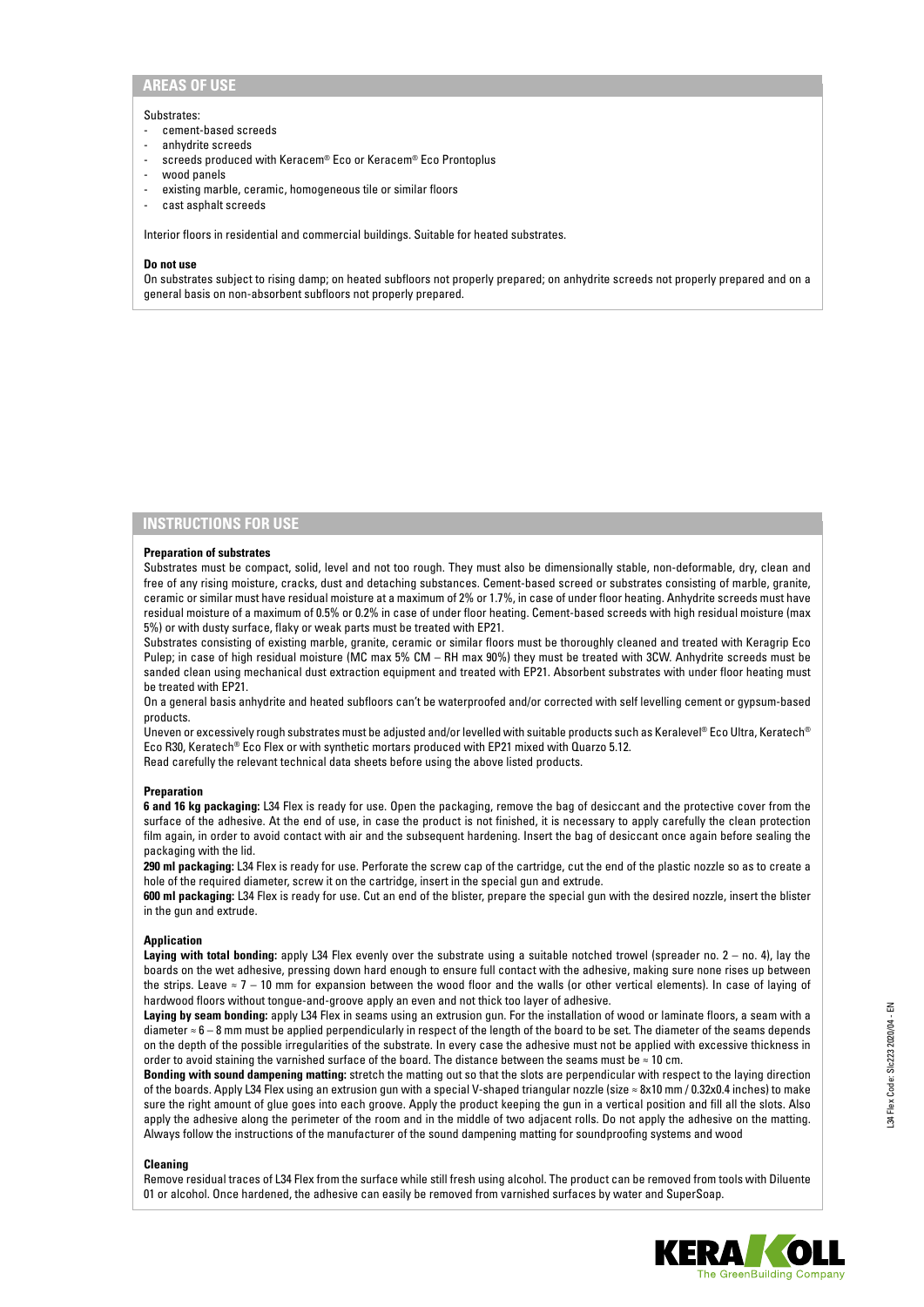# **AREAS OF USE**

#### Substrates:

- cement-based screeds
- anhydrite screeds
- screeds produced with Keracem® Eco or Keracem® Eco Prontoplus
- wood panels
- existing marble, ceramic, homogeneous tile or similar floors
- cast asphalt screeds

Interior floors in residential and commercial buildings. Suitable for heated substrates.

### **Do not use**

On substrates subject to rising damp; on heated subfloors not properly prepared; on anhydrite screeds not properly prepared and on a general basis on non-absorbent subfloors not properly prepared.

# **INSTRUCTIONS FOR USE**

## **Preparation of substrates**

Substrates must be compact, solid, level and not too rough. They must also be dimensionally stable, non-deformable, dry, clean and free of any rising moisture, cracks, dust and detaching substances. Cement-based screed or substrates consisting of marble, granite, ceramic or similar must have residual moisture at a maximum of 2% or 1.7%, in case of under floor heating. Anhydrite screeds must have residual moisture of a maximum of 0.5% or 0.2% in case of under floor heating. Cement-based screeds with high residual moisture (max 5%) or with dusty surface, flaky or weak parts must be treated with EP21.

Substrates consisting of existing marble, granite, ceramic or similar floors must be thoroughly cleaned and treated with Keragrip Eco Pulep; in case of high residual moisture (MC max 5% CM – RH max 90%) they must be treated with 3CW. Anhydrite screeds must be sanded clean using mechanical dust extraction equipment and treated with EP21. Absorbent substrates with under floor heating must be treated with EP21.

On a general basis anhydrite and heated subfloors can't be waterproofed and/or corrected with self levelling cement or gypsum-based products.

Uneven or excessively rough substrates must be adjusted and/or levelled with suitable products such as Keralevel® Eco Ultra, Keratech® Eco R30, Keratech® Eco Flex or with synthetic mortars produced with EP21 mixed with Quarzo 5.12.

Read carefully the relevant technical data sheets before using the above listed products.

#### **Preparation**

**6 and 16 kg packaging:** L34 Flex is ready for use. Open the packaging, remove the bag of desiccant and the protective cover from the surface of the adhesive. At the end of use, in case the product is not finished, it is necessary to apply carefully the clean protection film again, in order to avoid contact with air and the subsequent hardening. Insert the bag of desiccant once again before sealing the packaging with the lid.

**290 ml packaging:** L34 Flex is ready for use. Perforate the screw cap of the cartridge, cut the end of the plastic nozzle so as to create a hole of the required diameter, screw it on the cartridge, insert in the special gun and extrude.

**600 ml packaging:** L34 Flex is ready for use. Cut an end of the blister, prepare the special gun with the desired nozzle, insert the blister in the gun and extrude.

### **Application**

**Laying with total bonding:** apply L34 Flex evenly over the substrate using a suitable notched trowel (spreader no. 2 – no. 4), lay the boards on the wet adhesive, pressing down hard enough to ensure full contact with the adhesive, making sure none rises up between the strips. Leave ≈ 7 – 10 mm for expansion between the wood floor and the walls (or other vertical elements). In case of laying of hardwood floors without tongue-and-groove apply an even and not thick too layer of adhesive.

**Laying by seam bonding:** apply L34 Flex in seams using an extrusion gun. For the installation of wood or laminate floors, a seam with a diameter ≈ 6 – 8 mm must be applied perpendicularly in respect of the length of the board to be set. The diameter of the seams depends on the depth of the possible irregularities of the substrate. In every case the adhesive must not be applied with excessive thickness in order to avoid staining the varnished surface of the board. The distance between the seams must be ≈ 10 cm.

**Bonding with sound dampening matting:** stretch the matting out so that the slots are perpendicular with respect to the laying direction of the boards. Apply L34 Flex using an extrusion gun with a special V-shaped triangular nozzle (size ≈ 8x10 mm / 0.32x0.4 inches) to make sure the right amount of glue goes into each groove. Apply the product keeping the gun in a vertical position and fill all the slots. Also apply the adhesive along the perimeter of the room and in the middle of two adjacent rolls. Do not apply the adhesive on the matting. Always follow the instructions of the manufacturer of the sound dampening matting for soundproofing systems and wood

#### **Cleaning**

Remove residual traces of L34 Flex from the surface while still fresh using alcohol. The product can be removed from tools with Diluente 01 or alcohol. Once hardened, the adhesive can easily be removed from varnished surfaces by water and SuperSoap.